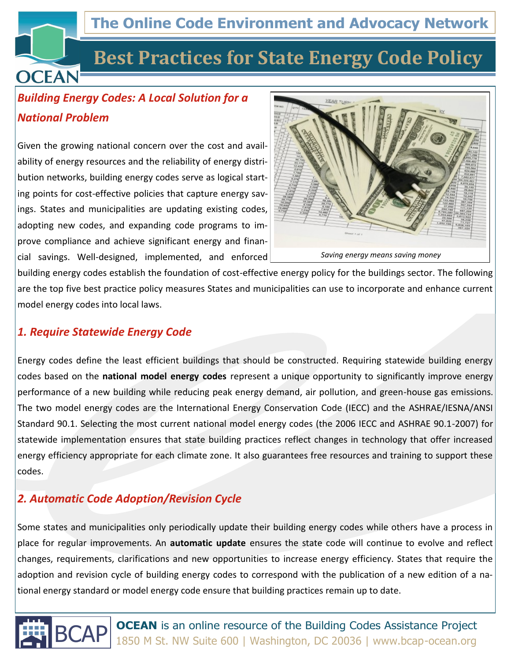## **The Online Code Environment and Advocacy Network**

## **Best Practices for State Energy Code Policy**

## *Building Energy Codes: A Local Solution for a National Problem*

**OCEAN** 

Given the growing national concern over the cost and availability of energy resources and the reliability of energy distribution networks, building energy codes serve as logical starting points for cost-effective policies that capture energy savings. States and municipalities are updating existing codes, adopting new codes, and expanding code programs to improve compliance and achieve significant energy and financial savings. Well-designed, implemented, and enforced



building energy codes establish the foundation of cost-effective energy policy for the buildings sector. The following are the top five best practice policy measures States and municipalities can use to incorporate and enhance current model energy codes into local laws.

#### *1. Require Statewide Energy Code*

Energy codes define the least efficient buildings that should be constructed. Requiring statewide building energy codes based on the **national model energy codes** represent a unique opportunity to significantly improve energy performance of a new building while reducing peak energy demand, air pollution, and green-house gas emissions. The two model energy codes are the International Energy Conservation Code (IECC) and the ASHRAE/IESNA/ANSI Standard 90.1. Selecting the most current national model energy codes (the 2006 IECC and ASHRAE 90.1-2007) for statewide implementation ensures that state building practices reflect changes in technology that offer increased energy efficiency appropriate for each climate zone. It also guarantees free resources and training to support these codes.

#### *2. Automatic Code Adoption/Revision Cycle*

Some states and municipalities only periodically update their building energy codes while others have a process in place for regular improvements. An **automatic update** ensures the state code will continue to evolve and reflect changes, requirements, clarifications and new opportunities to increase energy efficiency. States that require the adoption and revision cycle of building energy codes to correspond with the publication of a new edition of a national energy standard or model energy code ensure that building practices remain up to date.



**BCAP OCEAN** is an online resource of the Building Codes Assistance Project 1850 M St. NW Suite 600 | Washington, DC 20036 | www.bcap-ocean.org